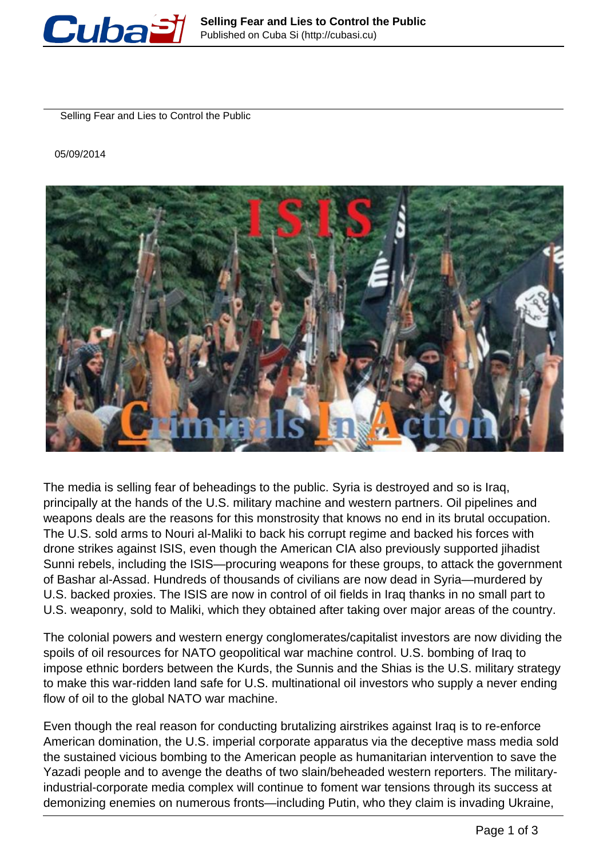

Selling Fear and Lies to Control the Public

05/09/2014



The media is selling fear of beheadings to the public. Syria is destroyed and so is Iraq, principally at the hands of the U.S. military machine and western partners. Oil pipelines and weapons deals are the reasons for this monstrosity that knows no end in its brutal occupation. The U.S. sold arms to Nouri al-Maliki to back his corrupt regime and backed his forces with drone strikes against ISIS, even though the American CIA also previously supported jihadist Sunni rebels, including the ISIS—procuring weapons for these groups, to attack the government of Bashar al-Assad. Hundreds of thousands of civilians are now dead in Syria—murdered by U.S. backed proxies. The ISIS are now in control of oil fields in Iraq thanks in no small part to U.S. weaponry, sold to Maliki, which they obtained after taking over major areas of the country.

The colonial powers and western energy conglomerates/capitalist investors are now dividing the spoils of oil resources for NATO geopolitical war machine control. U.S. bombing of Iraq to impose ethnic borders between the Kurds, the Sunnis and the Shias is the U.S. military strategy to make this war-ridden land safe for U.S. multinational oil investors who supply a never ending flow of oil to the global NATO war machine.

Even though the real reason for conducting brutalizing airstrikes against Iraq is to re-enforce American domination, the U.S. imperial corporate apparatus via the deceptive mass media sold the sustained vicious bombing to the American people as humanitarian intervention to save the Yazadi people and to avenge the deaths of two slain/beheaded western reporters. The militaryindustrial-corporate media complex will continue to foment war tensions through its success at demonizing enemies on numerous fronts—including Putin, who they claim is invading Ukraine,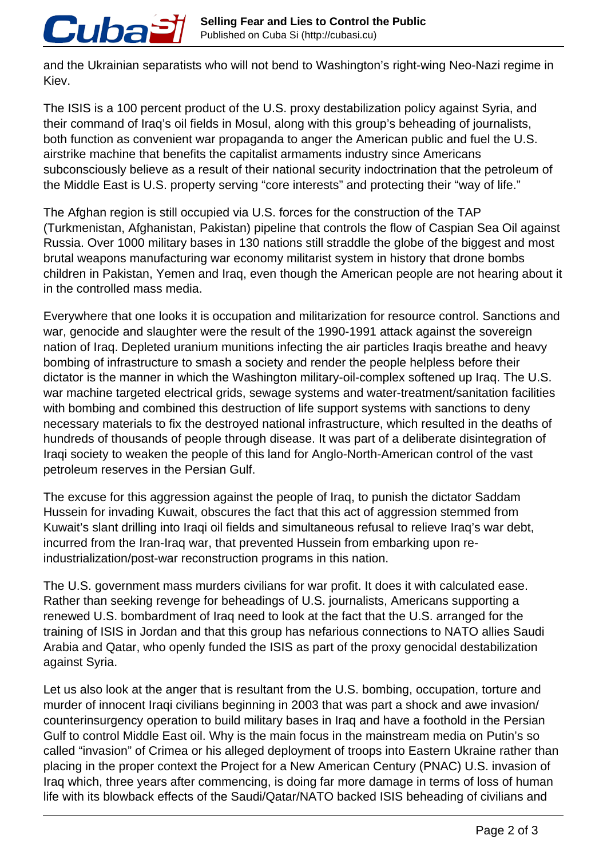and the Ukrainian separatists who will not bend to Washington's right-wing Neo-Nazi regime in Kiev.

Cuba

The ISIS is a 100 percent product of the U.S. proxy destabilization policy against Syria, and their command of Iraq's oil fields in Mosul, along with this group's beheading of journalists, both function as convenient war propaganda to anger the American public and fuel the U.S. airstrike machine that benefits the capitalist armaments industry since Americans subconsciously believe as a result of their national security indoctrination that the petroleum of the Middle East is U.S. property serving "core interests" and protecting their "way of life."

The Afghan region is still occupied via U.S. forces for the construction of the TAP (Turkmenistan, Afghanistan, Pakistan) pipeline that controls the flow of Caspian Sea Oil against Russia. Over 1000 military bases in 130 nations still straddle the globe of the biggest and most brutal weapons manufacturing war economy militarist system in history that drone bombs children in Pakistan, Yemen and Iraq, even though the American people are not hearing about it in the controlled mass media.

Everywhere that one looks it is occupation and militarization for resource control. Sanctions and war, genocide and slaughter were the result of the 1990-1991 attack against the sovereign nation of Iraq. Depleted uranium munitions infecting the air particles Iraqis breathe and heavy bombing of infrastructure to smash a society and render the people helpless before their dictator is the manner in which the Washington military-oil-complex softened up Iraq. The U.S. war machine targeted electrical grids, sewage systems and water-treatment/sanitation facilities with bombing and combined this destruction of life support systems with sanctions to deny necessary materials to fix the destroyed national infrastructure, which resulted in the deaths of hundreds of thousands of people through disease. It was part of a deliberate disintegration of Iraqi society to weaken the people of this land for Anglo-North-American control of the vast petroleum reserves in the Persian Gulf.

The excuse for this aggression against the people of Irag, to punish the dictator Saddam Hussein for invading Kuwait, obscures the fact that this act of aggression stemmed from Kuwait's slant drilling into Iraqi oil fields and simultaneous refusal to relieve Iraq's war debt, incurred from the Iran-Iraq war, that prevented Hussein from embarking upon reindustrialization/post-war reconstruction programs in this nation.

The U.S. government mass murders civilians for war profit. It does it with calculated ease. Rather than seeking revenge for beheadings of U.S. journalists, Americans supporting a renewed U.S. bombardment of Iraq need to look at the fact that the U.S. arranged for the training of ISIS in Jordan and that this group has nefarious connections to NATO allies Saudi Arabia and Qatar, who openly funded the ISIS as part of the proxy genocidal destabilization against Syria.

Let us also look at the anger that is resultant from the U.S. bombing, occupation, torture and murder of innocent Iraqi civilians beginning in 2003 that was part a shock and awe invasion/ counterinsurgency operation to build military bases in Iraq and have a foothold in the Persian Gulf to control Middle East oil. Why is the main focus in the mainstream media on Putin's so called "invasion" of Crimea or his alleged deployment of troops into Eastern Ukraine rather than placing in the proper context the Project for a New American Century (PNAC) U.S. invasion of Iraq which, three years after commencing, is doing far more damage in terms of loss of human life with its blowback effects of the Saudi/Qatar/NATO backed ISIS beheading of civilians and